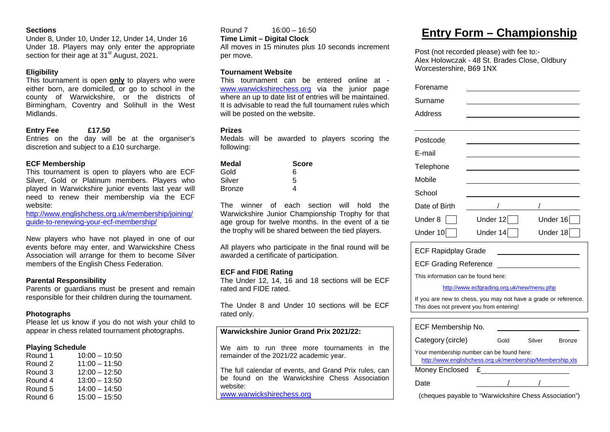#### **Sections**

Under 8, Under 10, Under 12, Under 14, Under 16 Under 18. Players may only enter the appropriate section for their age at 31<sup>st</sup> August, 2021.

#### **Eligibility**

This tournament is open **only** to players who were either born, are domiciled, or go to school in the county of Warwickshire, or the districts of Birmingham, Coventry and Solihull in the West Midlands.

#### **Entry Fee £17.50**

Entries on the day will be at the organiser's discretion and subject to a £10 surcharge.

#### **ECF Membership**

This tournament is open to players who are ECF Silver, Gold or Platinum members. Players who played in Warwickshire junior events last year will need to renew their membership via the ECF website:

http://www.englishchess.org.uk/membership/joining/ guide-to-renewing-your-ecf-membership/

New players who have not played in one of our events before may enter, and Warwickshire Chess Association will arrange for them to become Silver members of the English Chess Federation.

#### **Parental Responsibility**

Parents or guardians must be present and remain responsible for their children during the tournament.

#### **Photographs**

Please let us know if you do not wish your child to appear in chess related tournament photographs.

#### **Playing Schedule**

| Round 1 | $10:00 - 10:50$ |
|---------|-----------------|
| Round 2 | $11:00 - 11:50$ |
| Round 3 | $12:00 - 12:50$ |
| Round 4 | $13:00 - 13:50$ |
| Round 5 | $14:00 - 14:50$ |
| Round 6 | $15:00 - 15:50$ |

Round 7 16:00 – 16:50

**Time Limit – Digital Clock** 

All moves in 15 minutes plus 10 seconds increment per move.

#### **Tournament Website**

This tournament can be entered online at www.warwickshirechess.org via the junior page where an up to date list of entries will be maintained. It is advisable to read the full tournament rules which will be posted on the website.

#### **Prizes**

Medals will be awarded to players scoring the following:

| Medal  | <b>Score</b> |
|--------|--------------|
| Gold   | ิค           |
| Silver | 5            |
| Bronze | 4            |

The winner of each section will hold the Warwickshire Junior Championship Trophy for that age group for twelve months. In the event of a tie the trophy will be shared between the tied players.

All players who participate in the final round will be awarded a certificate of participation.

#### **ECF and FIDE Rating**

The Under 12, 14, 16 and 18 sections will be ECF rated and FIDE rated.

The Under 8 and Under 10 sections will be ECF rated only.

#### **Warwickshire Junior Grand Prix 2021/22:**

We aim to run three more tournaments in the remainder of the 2021/22 academic year.

The full calendar of events, and Grand Prix rules, can be found on the Warwickshire Chess Association website: www.warwickshirechess.org

### **Entry Form – Championship**

Post (not recorded please) with fee to:- Alex Holowczak - 48 St. Brades Close, Oldbury Worcestershire, B69 1NX

| Forename      |            |          |
|---------------|------------|----------|
| Surname       |            |          |
| Address       |            |          |
|               |            |          |
| Postcode      |            |          |
| E-mail        |            |          |
| Telephone     |            |          |
| Mobile        |            |          |
| School        |            |          |
| Date of Birth |            |          |
| Under 8       | Under $12$ | Under 16 |
| Under 10      | Under 14   | Under 18 |

| <b>ECF Rapidplay Grade</b>   |  |
|------------------------------|--|
| <b>ECF Grading Reference</b> |  |

This information can be found here:

#### http://www.ecfgrading.org.uk/new/menu.php

If you are new to chess, you may not have a grade or reference. This does not prevent you from entering!

| ECF Membership No.                                                                                    |      |        |               |  |  |
|-------------------------------------------------------------------------------------------------------|------|--------|---------------|--|--|
| Category (circle)                                                                                     | Gold | Silver | <b>Bronze</b> |  |  |
| Your membership number can be found here:<br>http://www.englishchess.org.uk/membership/Membership.xls |      |        |               |  |  |
| Money Enclosed                                                                                        |      |        |               |  |  |
| ate)                                                                                                  |      |        |               |  |  |

(cheques payable to "Warwickshire Chess Association")